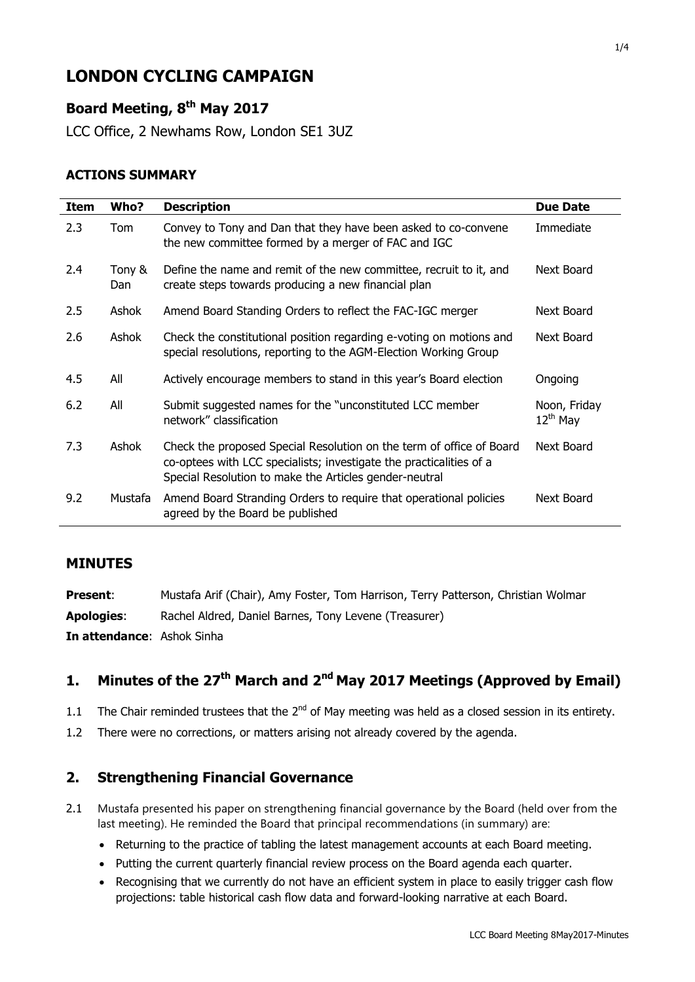# **LONDON CYCLING CAMPAIGN**

# **Board Meeting, 8 th May 2017**

LCC Office, 2 Newhams Row, London SE1 3UZ

#### **ACTIONS SUMMARY**

| <b>Item</b> | Who?          | <b>Description</b>                                                                                                                                                                                    | <b>Due Date</b>               |
|-------------|---------------|-------------------------------------------------------------------------------------------------------------------------------------------------------------------------------------------------------|-------------------------------|
| 2.3         | Tom           | Convey to Tony and Dan that they have been asked to co-convene<br>the new committee formed by a merger of FAC and IGC                                                                                 | Immediate                     |
| 2.4         | Tony &<br>Dan | Define the name and remit of the new committee, recruit to it, and<br>create steps towards producing a new financial plan                                                                             | Next Board                    |
| 2.5         | Ashok         | Amend Board Standing Orders to reflect the FAC-IGC merger                                                                                                                                             | Next Board                    |
| 2.6         | Ashok         | Check the constitutional position regarding e-voting on motions and<br>special resolutions, reporting to the AGM-Election Working Group                                                               | Next Board                    |
| 4.5         | All           | Actively encourage members to stand in this year's Board election                                                                                                                                     | Ongoing                       |
| 6.2         | All           | Submit suggested names for the "unconstituted LCC member<br>network" classification                                                                                                                   | Noon, Friday<br>$12^{th}$ May |
| 7.3         | Ashok         | Check the proposed Special Resolution on the term of office of Board<br>co-optees with LCC specialists; investigate the practicalities of a<br>Special Resolution to make the Articles gender-neutral | Next Board                    |
| 9.2         | Mustafa       | Amend Board Stranding Orders to require that operational policies<br>agreed by the Board be published                                                                                                 | Next Board                    |

#### **MINUTES**

| <b>Present:</b>                   | Mustafa Arif (Chair), Amy Foster, Tom Harrison, Terry Patterson, Christian Wolmar |
|-----------------------------------|-----------------------------------------------------------------------------------|
| <b>Apologies:</b>                 | Rachel Aldred, Daniel Barnes, Tony Levene (Treasurer)                             |
| <b>In attendance: Ashok Sinha</b> |                                                                                   |

# 1. Minutes of the 27<sup>th</sup> March and 2<sup>nd</sup> May 2017 Meetings (Approved by Email)

- 1.1 The Chair reminded trustees that the  $2<sup>nd</sup>$  of May meeting was held as a closed session in its entirety.
- 1.2 There were no corrections, or matters arising not already covered by the agenda.

## **2. Strengthening Financial Governance**

- 2.1 Mustafa presented his paper on strengthening financial governance by the Board (held over from the last meeting). He reminded the Board that principal recommendations (in summary) are:
	- Returning to the practice of tabling the latest management accounts at each Board meeting.
	- Putting the current quarterly financial review process on the Board agenda each quarter.
	- Recognising that we currently do not have an efficient system in place to easily trigger cash flow projections: table historical cash flow data and forward-looking narrative at each Board.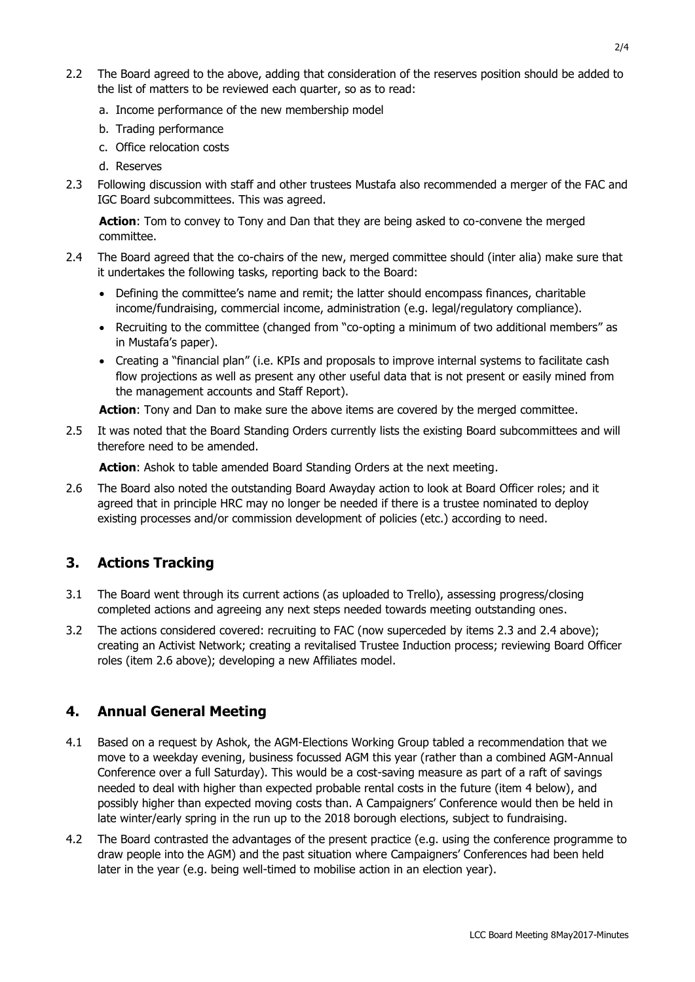- 2.2 The Board agreed to the above, adding that consideration of the reserves position should be added to the list of matters to be reviewed each quarter, so as to read:
	- a. Income performance of the new membership model
	- b. Trading performance
	- c. Office relocation costs
	- d. Reserves
- 2.3 Following discussion with staff and other trustees Mustafa also recommended a merger of the FAC and IGC Board subcommittees. This was agreed.

Action: Tom to convey to Tony and Dan that they are being asked to co-convene the merged committee.

- 2.4 The Board agreed that the co-chairs of the new, merged committee should (inter alia) make sure that it undertakes the following tasks, reporting back to the Board:
	- Defining the committee's name and remit; the latter should encompass finances, charitable income/fundraising, commercial income, administration (e.g. legal/regulatory compliance).
	- Recruiting to the committee (changed from "co-opting a minimum of two additional members" as in Mustafa's paper).
	- Creating a "financial plan" (i.e. KPIs and proposals to improve internal systems to facilitate cash flow projections as well as present any other useful data that is not present or easily mined from the management accounts and Staff Report).

**Action**: Tony and Dan to make sure the above items are covered by the merged committee.

2.5 It was noted that the Board Standing Orders currently lists the existing Board subcommittees and will therefore need to be amended.

**Action**: Ashok to table amended Board Standing Orders at the next meeting.

2.6 The Board also noted the outstanding Board Awayday action to look at Board Officer roles; and it agreed that in principle HRC may no longer be needed if there is a trustee nominated to deploy existing processes and/or commission development of policies (etc.) according to need.

# **3. Actions Tracking**

- 3.1 The Board went through its current actions (as uploaded to Trello), assessing progress/closing completed actions and agreeing any next steps needed towards meeting outstanding ones.
- 3.2 The actions considered covered: recruiting to FAC (now superceded by items 2.3 and 2.4 above); creating an Activist Network; creating a revitalised Trustee Induction process; reviewing Board Officer roles (item 2.6 above); developing a new Affiliates model.

## **4. Annual General Meeting**

- 4.1 Based on a request by Ashok, the AGM-Elections Working Group tabled a recommendation that we move to a weekday evening, business focussed AGM this year (rather than a combined AGM-Annual Conference over a full Saturday). This would be a cost-saving measure as part of a raft of savings needed to deal with higher than expected probable rental costs in the future (item 4 below), and possibly higher than expected moving costs than. A Campaigners' Conference would then be held in late winter/early spring in the run up to the 2018 borough elections, subject to fundraising.
- 4.2 The Board contrasted the advantages of the present practice (e.g. using the conference programme to draw people into the AGM) and the past situation where Campaigners' Conferences had been held later in the year (e.g. being well-timed to mobilise action in an election year).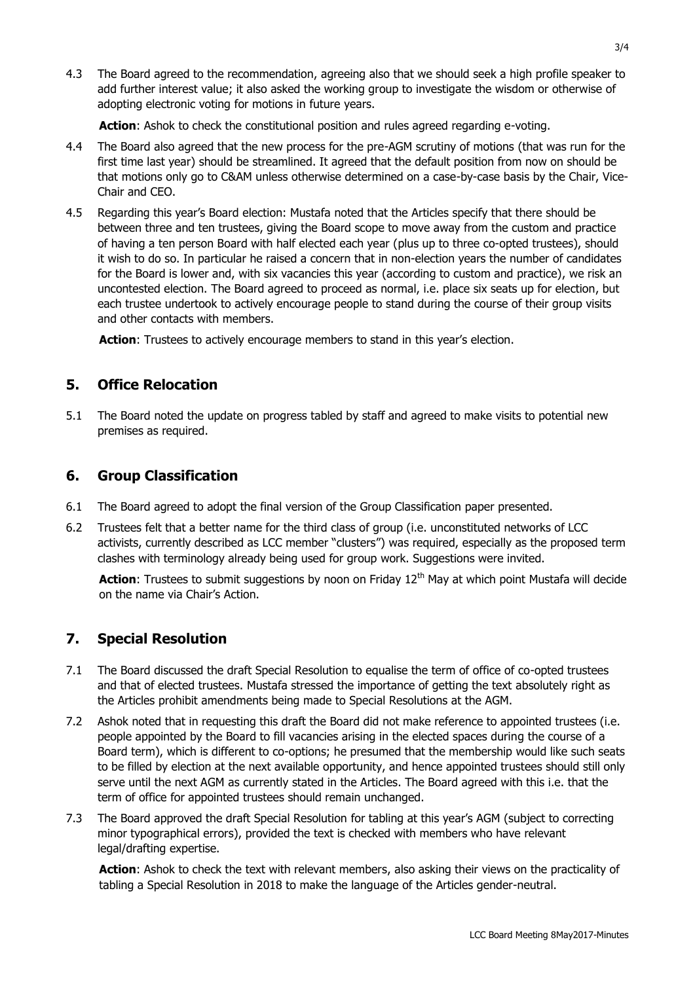4.3 The Board agreed to the recommendation, agreeing also that we should seek a high profile speaker to add further interest value; it also asked the working group to investigate the wisdom or otherwise of adopting electronic voting for motions in future years.

**Action**: Ashok to check the constitutional position and rules agreed regarding e-voting.

- 4.4 The Board also agreed that the new process for the pre-AGM scrutiny of motions (that was run for the first time last year) should be streamlined. It agreed that the default position from now on should be that motions only go to C&AM unless otherwise determined on a case-by-case basis by the Chair, Vice-Chair and CEO.
- 4.5 Regarding this year's Board election: Mustafa noted that the Articles specify that there should be between three and ten trustees, giving the Board scope to move away from the custom and practice of having a ten person Board with half elected each year (plus up to three co-opted trustees), should it wish to do so. In particular he raised a concern that in non-election years the number of candidates for the Board is lower and, with six vacancies this year (according to custom and practice), we risk an uncontested election. The Board agreed to proceed as normal, i.e. place six seats up for election, but each trustee undertook to actively encourage people to stand during the course of their group visits and other contacts with members.

**Action**: Trustees to actively encourage members to stand in this year's election.

## **5. Office Relocation**

5.1 The Board noted the update on progress tabled by staff and agreed to make visits to potential new premises as required.

## **6. Group Classification**

- 6.1 The Board agreed to adopt the final version of the Group Classification paper presented.
- 6.2 Trustees felt that a better name for the third class of group (i.e. unconstituted networks of LCC activists, currently described as LCC member "clusters") was required, especially as the proposed term clashes with terminology already being used for group work. Suggestions were invited.

**Action**: Trustees to submit suggestions by noon on Friday 12<sup>th</sup> May at which point Mustafa will decide on the name via Chair's Action.

# **7. Special Resolution**

- 7.1 The Board discussed the draft Special Resolution to equalise the term of office of co-opted trustees and that of elected trustees. Mustafa stressed the importance of getting the text absolutely right as the Articles prohibit amendments being made to Special Resolutions at the AGM.
- 7.2 Ashok noted that in requesting this draft the Board did not make reference to appointed trustees (i.e. people appointed by the Board to fill vacancies arising in the elected spaces during the course of a Board term), which is different to co-options; he presumed that the membership would like such seats to be filled by election at the next available opportunity, and hence appointed trustees should still only serve until the next AGM as currently stated in the Articles. The Board agreed with this i.e. that the term of office for appointed trustees should remain unchanged.
- 7.3 The Board approved the draft Special Resolution for tabling at this year's AGM (subject to correcting minor typographical errors), provided the text is checked with members who have relevant legal/drafting expertise.

**Action**: Ashok to check the text with relevant members, also asking their views on the practicality of tabling a Special Resolution in 2018 to make the language of the Articles gender-neutral.